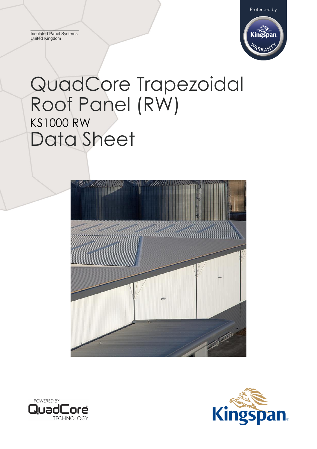Insulated Panel Systems United Kingdom



# QuadCore Trapezoidal Roof Panel (RW) KS1000 RW Data Sheet





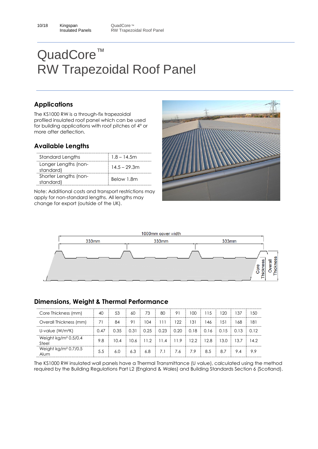# **Applications**

The KS1000 RW is a through-fix trapezoidal profiled insulated roof panel which can be used for building applications with roof pitches of 4° or more after deflection.

## **Available Lengths**

| Standard Lengths                   | 1.8 – 14.5m     |
|------------------------------------|-----------------|
| Longer Lengths (non-<br>standard)  | $14.5 - 29.3$ m |
| Shorter Lengths (non-<br>standard) | Below 1.8m      |

Note: Additional costs and transport restrictions may apply for non-standard lengths. All lengths may change for export (outside of the UK).





#### **Dimensions, Weight & Thermal Performance**

| Core Thickness (mm)                        | 40   | 53   | 60  | 73                    | 80  | 91                                        | l OO     | 115  | 120  | 137  | 1.50 |
|--------------------------------------------|------|------|-----|-----------------------|-----|-------------------------------------------|----------|------|------|------|------|
| Overall Thickness (mm)                     | 71   | 84   | 91  | 104                   | 111 | 122                                       | 131      | ' 46 | 151  | 68   | 181  |
| U-value $(W/m^2K)$                         | 0.47 | 0.35 |     |                       |     | $0.31$   0.25   0.23   0.20   0.18   0.16 |          |      | 0.15 | 0.13 | O 12 |
| Weight $kg/m2 0.5/0.4$<br>Steel            | 9.8  | 10.4 |     | $10.6$ 11.2 11.4 11.9 |     |                                           | $12.2-1$ | 12.8 | 13.0 | 13.7 | 14.2 |
| Weight kg/m <sup>2</sup> $0.7/0.5$<br>Alum | 5.5  | 6.0  | 6.3 | 6.8                   | 7.1 | 7.6                                       | 7.9      | 8.5  | 8.7  | 9.4  | 99   |

The KS1000 RW insulated wall panels have a Thermal Transmittance (U value), calculated using the method required by the Building Regulations Part L2 (England & Wales) and Building Standards Section 6 (Scotland).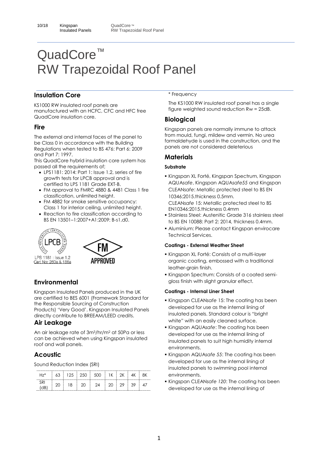#### **Insulation Core**

KS1000 RW insulated roof panels are manufactured with an HCFC, CFC and HFC free QuadCore insulation core.

#### **Fire**

The external and internal faces of the panel to be Class 0 in accordance with the Building Regulations when tested to BS 476: Part 6: 2009 and Part 7: 1997.

This QuadCore hybrid insulation core system has passed all the requirements of;

- LPS1181: 2014: Part 1: Issue 1.2, series of fire growth tests for LPCB approval and is certified to LPS 1181 Grade EXT-B.
- FM approval to FMRC 4880 & 4481 Class 1 fire classification, unlimited height.
- FM 4882 for smoke sensitive occupancy: Class 1 for interior ceiling, unlimited height.
- Reaction to fire classification according to BS EN 13501–1:2007+A1:2009: B-s1,d0.





LPS 1181 : Issue 1.2 Cert No: 260a & 186a

# **APPROVED**

## **Environmental**

Kingspan Insulated Panels produced in the UK are certified to BES 6001 (Framework Standard for the Responsible Sourcing of Construction Products) 'Very Good'. Kingspan Insulated Panels directly contribute to BREEAM/LEED credits.

#### **Air Leakage**

An air leakage rate of 3m<sup>3</sup>/hr/m<sup>2</sup> at 50Pa or less can be achieved when using Kingspan insulated roof and wall panels.

#### **Acoustic**

Sound Reduction Index (SRI)

| <br>⊣7*                    | 63 |    | 500 |  |    |  |
|----------------------------|----|----|-----|--|----|--|
| . b<br>$\overline{AB}$<br> |    | 18 | つれ  |  | 39 |  |

#### \* Frequency

The KS1000 RW insulated roof panel has a single figure weighted sound reduction Rw = 25dB.

## **Biological**

Kingspan panels are normally immune to attack from mould, fungi, mildew and vermin. No urea formaldehyde is used in the construction, and the panels are not considered deleterious

#### **Materials**

#### **Substrate**

- Kingspan XL Forté, Kingspan Spectrum, Kingspan AQUA*safe*, Kingspan AQUA*safe55* and Kingspan CLEAN*safe*: Metallic protected steel to BS EN 10346:2015.thickness 0.5mm. CLEAN*safe* 15: Metallic protected steel to BS EN10346:2015.thickness 0.4mm
- Stainless Steel: Austenitic Grade 316 stainless steel to BS EN 10088: Part 2: 2014, thickness 0.4mm.
- Aluminium: Please contact Kingspan envirocare Technical Services.

#### **Coatings - External Weather Sheet**

- Kingspan XL Forté: Consists of a multi-layer organic coating, embossed with a traditional leather-grain finish.
- Kingspan Spectrum: Consists of a coated semigloss finish with slight granular effect.

#### **Coatings - Internal Liner Sheet**

- Kingspan CLEAN*safe* 15: The coating has been developed for use as the internal lining of insulated panels. Standard colour is "bright white" with an easily cleaned surface.
- Kingspan AQUA*safe*: The coating has been developed for use as the internal lining of insulated panels to suit high humidity internal environments.
- Kingspan AQUA*safe 55*: The coating has been developed for use as the internal lining of insulated panels to swimming pool internal environments.
- Kingspan CLEAN*safe 120*: The coating has been developed for use as the internal lining of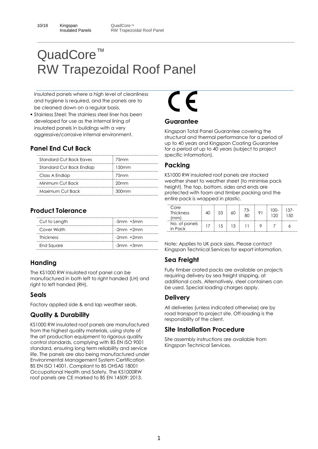insulated panels where a high level of cleanliness and hygiene is required, and the panels are to be cleaned down on a regular basis.

**.** Stainless Steel: The stainless steel liner has been developed for use as the internal lining of insulated panels in buildings with a very aggressive/corrosive internal environment.

## **Panel End Cut Back**

| Standard Cut Back Faves  | 75 <sub>mm</sub> |
|--------------------------|------------------|
| Standard Cut Back Endlap | 150mm            |
| Class A Endlap           | 75 <sub>mm</sub> |
| Minimum Cut Back         | 20 <sub>mm</sub> |
| Maximum Cut Back         | 300mm            |

## **Product Tolerance**

| Cut to Length | $-5$ mm $+5$ mm |
|---------------|-----------------|
| Cover Width   | -2mm +2mm       |
| Thickness     | $-2mm +2mm$     |
| End Square    | $-3mm$ $+3mm$   |

#### **Handing**

The KS1000 RW insulated roof panel can be manufactured in both left to right handed (LH) and right to left handed (RH).

#### **Seals**

Factory applied side & end lap weather seals.

## **Quality & Durability**

KS1000 RW insulated roof panels are manufactured from the highest quality materials, using state of the art production equipment to rigorous quality control standards, complying with BS EN ISO 9001 standard, ensuring long term reliability and service life. The panels are also being manufactured under Environmental Management System Certification BS EN ISO 14001. Compliant to BS OHSAS 18001 Occupational Health and Safety. The KS1000RW roof panels are CE marked to BS EN 14509: 2013.

# E

#### **Guarantee**

Kingspan Total Panel Guarantee covering the structural and thermal performance for a period of up to 40 years and Kingspan Coating Guarantee for a period of up to 40 years (subject to project specific information).

## **Packing**

KS1000 RW insulated roof panels are stacked weather sheet to weather sheet (to minimise pack height). The top, bottom, sides and ends are protected with foam and timber packing and the entire pack is wrapped in plastic.

| Core<br><b>Thickness</b><br>mm | 53 | 73-<br>8C | $100-$<br>חכו | ็ 37- |
|--------------------------------|----|-----------|---------------|-------|
| No. of panels<br>in Pack       | ۱5 |           |               |       |

Note: Applies to UK pack sizes. Please contact Kingspan Technical Services for export information.

## **Sea Freight**

Fully timber crated packs are available on projects requiring delivery by sea freight shipping, at additional costs. Alternatively, steel containers can be used. Special loading charges apply.

#### **Delivery**

All deliveries (unless indicated otherwise) are by road transport to project site. Off-loading is the responsibility of the client.

#### **Site Installation Procedure**

Site assembly instructions are available from Kingspan Technical Services.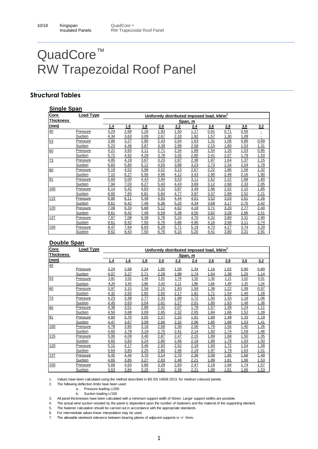#### **Structural Tables**

| <b>Single Span</b> |                |      |      |      |      |      |         |                                                       |             |      |      |
|--------------------|----------------|------|------|------|------|------|---------|-------------------------------------------------------|-------------|------|------|
| <b>Core</b>        | Load Type      |      |      |      |      |      |         | Uniformly distributed imposed load, kN/m <sup>2</sup> |             |      |      |
| <b>Thickness</b>   |                |      |      |      |      |      | Span, m |                                                       |             |      |      |
| (mm)               |                | 1.4  | 1.6  | 1.8  | 2.0  | 2.2  | 2.4     | 2.6                                                   | 2.8         | 3.0  | 3.2  |
| 40                 | Pressure       | 3.24 | 2.68 | 2.26 | 1.93 | 1.50 | 1.17    | 0.91                                                  | 0.71        | 0.56 | Ė    |
|                    | Suction        | 4.34 | 3.63 | 3.09 | 2.67 | 2.33 | 1.92    | 1.57                                                  | 1.30        | 1.09 |      |
| 53                 | Pressure       | 3.86 | 3.27 | 2.80 | 2.43 | 2.04 | 1.63    | 1.31                                                  | 1.06        | 0.86 | 0.69 |
|                    | Suction        | 5.23 | 4.46 | 3.87 | 3.39 | 2.99 | 2.58    | 2.15                                                  | 1.80        | 1.53 | 1.31 |
| 60                 | Pressure       | 4.21 | 3.60 | 3.11 | 2.71 | 2.34 | 1.89    | 1.54                                                  | 1.26        | 1.03 | 0.85 |
|                    | <b>Suction</b> | 5.72 | 4.92 | 4.29 | 3.78 | 3.35 | 2.85    | 2.41                                                  | 2.07        | 1.78 | 1.53 |
| 73                 | Pressure       | 4.85 | 4.19 | 3.67 | 3.23 | 2.87 | 2.38    | 1.97                                                  | 1.64        | 1.37 | 1.15 |
|                    | Suction        | 6.65 | 5.80 | 5.12 | 4.55 | 3.88 | 3.23    | 2.73                                                  | 2.34        | 2.04 | 1.79 |
| 80                 | Pressure       | 5.19 | 4.52 | 3.98 | 3.52 | 3.13 | 2.67    | 2.22                                                  | 1.86        | 1.56 | 1.32 |
|                    | Suction        | 7.15 | 6.27 | 5.56 | 4.96 | 4.12 | 3.43    | 2.90                                                  | 2.49        | 2.16 | 1.90 |
| 91                 | Pressure       | 5.69 | 5.00 | 4.43 | 3.94 | 3.53 | 3.11    | 2.62                                                  | <u>2.22</u> | 1.88 | 1.60 |
|                    | Suction        | 7.94 | 7.03 | 6.27 | 5.43 | 4.43 | 3.69    | 3.12                                                  | 2.68        | 2.33 | 2.05 |
| 100                | Pressure       | 6.14 | 5.42 | 4.83 | 4.32 | 3.87 | 3.49    | 2.96                                                  | 2.52        | 2.15 | 1.85 |
|                    | Suction        | 8.60 | 7.65 | 6.81 | 5.84 | 4.77 | 3.97    | 3.37                                                  | 2.89        | 2.52 | 2.21 |
| 115                | Pressure       | 6.86 | 6.11 | 5.48 | 4.93 | 4.44 | 4.01    | 3.52                                                  | 3.03        | 2.61 | 2.26 |
|                    | Suction        | 9.61 | 8.42 | 7.49 | 6.36 | 5.20 | 4.34    | 3.68                                                  | 3.17        | 2.75 | 2.42 |
| 120                | Pressure       | 7.09 | 6.33 | 5.68 | 5.12 | 4.62 | 4.18    | 3.71                                                  | 3.20        | 2.77 | 2.40 |
|                    | Suction        | 9.61 | 8.42 | 7.49 | 6.59 | 5.39 | 4.50    | 3.82                                                  | 3.28        | 2.86 | 2.51 |
| 137                | Pressure       | 7.87 | 7.08 | 6.39 | 5.78 | 5.24 | 4.76    | 4.32                                                  | 3.80        | 3.31 | 2.90 |
|                    | Suction        | 9.61 | 8.42 | 7.50 | 6.76 | 5.86 | 4.90    | 4.16                                                  | 3.58        | 3.11 | 2.74 |
| 150                | Pressure       | 8.47 | 7.64 | 6.93 | 6.29 | 5.71 | 5.19    | 4.73                                                  | 4.27        | 3.74 | 3.29 |
|                    | Suction        | 9.62 | 8.43 | 7.50 | 6.76 | 6.15 | 5.20    | 4.41                                                  | 3.80        | 3.31 | 2.91 |

#### **Double Span**

| Core             | <b>Load Type</b> | Uniformly distributed imposed load, kN/m <sup>2</sup> |      |      |      |      |             |      |      |      |             |  |
|------------------|------------------|-------------------------------------------------------|------|------|------|------|-------------|------|------|------|-------------|--|
| <b>Thickness</b> |                  |                                                       |      |      |      |      | Span, m     |      |      |      |             |  |
| (mm)             |                  | 1.4                                                   | 1.6  | 1.8  | 2.0  | 2.2  | 2.4         | 2.6  | 2.8  | 3.0  | 3.2         |  |
| 40               |                  |                                                       |      |      |      |      |             |      |      |      |             |  |
|                  | Pressure         | 3.24                                                  | 2.68 | 2.24 | 1.85 | 1.56 | 1.34        | 1.16 | 1.02 | 0.90 | 0.80        |  |
|                  | Suction          | 4.07                                                  | 3.27 | 2.71 | 2.29 | 1.98 | 1.74        | 1.54 | 1.38 | 1.25 | 1.14        |  |
| 53               | Pressure         | 3.81                                                  | 3.02 | 2.46 | 2.05 | 1.74 | 1.50        | 1.30 | 1.15 | 1.02 | 0.91        |  |
|                  | Suction          | 4.24                                                  | 3.43 | 2.86 | 2.43 | 2.11 | 1.86        | 1.66 | 1.49 | 1.35 | 1.24        |  |
| 60               | Pressure         | 3.97                                                  | 3.15 | 2.58 | 2.15 | 1.83 | 1.58        | 1.38 | 1.22 | 1.08 | 0.97        |  |
|                  | Suction          | 4.32                                                  | 3.50 | 2.92 | 2.50 | 2.17 | 1.91        | 1.71 | 1.54 | 1.40 | 1.28        |  |
| 73               | <b>Pressure</b>  | 4.23                                                  | 3.38 | 2.77 | 2.33 | 1.99 | 1.72        | 1.50 | 1.33 | 1.18 | 1.06        |  |
|                  | Suction          | 4.45                                                  | 3.63 | 3.04 | 2.61 | 2.27 | 2.01        | 1.80 | 1.63 | 1.48 | 1.36        |  |
| 80               | Pressure         | 4.38                                                  | 3.51 | 2.88 | 2.42 | 2.07 | 1.79        | 1.57 | 1.39 | 1.24 | 1.11        |  |
|                  | Suction          | 4.50                                                  | 3.68 | 3.09 | 2.65 | 2.32 | 2.05        | 1.84 | 1.66 | 1.52 | 1.39        |  |
| 91               | Pressure         | 4.60                                                  | 3.70 | 3.05 | 2.57 | 2.20 | 1.91        | 1.68 | 1.49 | 1.33 | 1.19        |  |
|                  | Suction          | 4.47                                                  | 3.67 | 3.09 | 2.66 | 2.32 | 2.06        | 1.85 | 1.68 | 1.53 | 1.41        |  |
| 100              | Pressure         | 4.78                                                  | 3.85 | 3.18 | 2.69 | 2.30 | 2.00        | 1.76 | 1.56 | 1.40 | <u>1.26</u> |  |
|                  | Suction          | 4.60                                                  | 3.78 | 3.19 | 2.75 | 2.41 | 2.14        | 1.92 | 1.74 | 1.59 | 1.46        |  |
| 115              | <b>Pressure</b>  | 5.06                                                  | 4.09 | 3.40 | 2.87 | 2.47 | 2.15        | 1.89 | 1.68 | 1.50 | 1.35        |  |
|                  | Suction          | 4.65                                                  | 3.83 | 3.24 | 2.80 | 2.46 | 2.18        | 1.96 | 1.78 | 1.63 | 1.50        |  |
| 120              | Pressure         | 5.15                                                  | 4.17 | 3.46 | 2.93 | 2.52 | 2.19        | 1.93 | 1.72 | 1.54 | 1.39        |  |
|                  | Suction          | 4.64                                                  | 3.83 | 3.25 | 2.80 | 2.46 | 2.19        | 1.97 | 1.79 | 1.63 | 1.51        |  |
| 137              | Pressure         | 5.45                                                  | 4.44 | 3.70 | 3.14 | 2.70 | 2.36        | 2.08 | 1.85 | 1.66 | 1.49        |  |
|                  | Suction          | 4.65                                                  | 3.85 | 3.27 | 2.83 | 2.48 | <u>2.21</u> | 1.99 | 1.81 | 1.66 | 1.53        |  |
| 150              | Pressure         | 5.68                                                  | 4.63 | 3.86 | 3.28 | 2.83 | 2.47        | 2.18 | 1.94 | 1.74 | <u>1.57</u> |  |
|                  | Suction          | 4.63                                                  | 3.84 | 3.26 | 2.82 | 2.48 | 2.21        | 1.99 | 1.81 | 1.66 | 1.53        |  |

1. Values have been calculated using the method described in BS EN 14509 2013, for medium coloured panels.

2. The following deflection limits have been used:

a. Pressure loading L/200

b. Suction loading L/150

3. All panel thicknesses have been calculated with a minimum support width of 50mm. Larger support widths are possible.

4. The actual wind suction resisted by the panel is dependent upon the number of fasteners and the material of the supporting element.

5. The fastener calculation should be carried out in accordance with the appropriate standards.

6. For intermediate values linear interpolation may be used.

7. The allowable steelwork tolerance between bearing planes of adjacent supports is +/- 5mm.